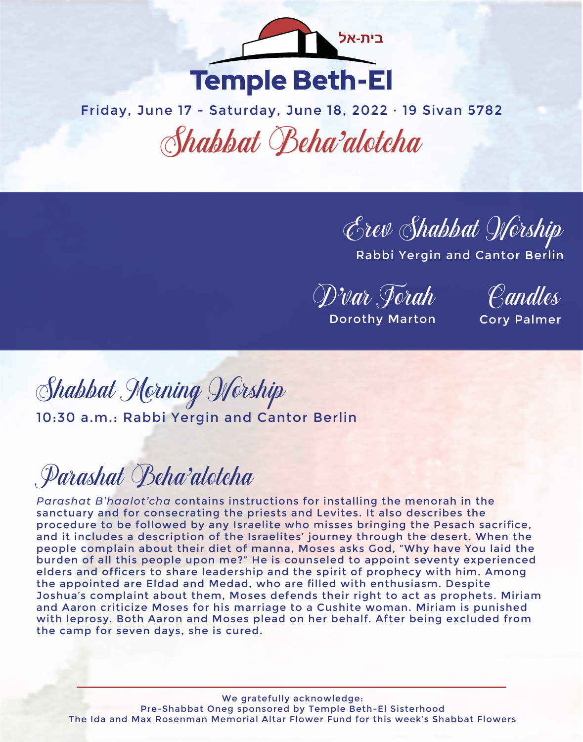

Friday, June 17 - Saturday, June 18, 2022 · 19 Sivan 5782 Shabbat Beha'alotcha

Erev Shabbat Worship

Rabbi Yergin and Cantor Berlin

D'var Torah

Candles

Dorothy Marton

Cory Palmer

Shabbat Morning Worship 10:30 a.m.: Rabbi Yergin and Cantor Berlin

# Parashat Beha'alotcha

*Parashat B'haalot'cha* contains instructions for installing the menorah in the sanctuary and for consecrating the priests and Levites. It also describes the procedure to be followed by any Israelite who misses bringing the Pesach sacrifice, and it includes a description of the Israelites' journey through the desert. When the people complain about their diet of manna, Moses asks God, "Why have You laid the burden of all this people upon me?" He is counseled to appoint seventy experienced elders and officers to share leadership and the spirit of prophecy with him. Among the appointed are Eldad and Medad, who are filled with enthusiasm. Despite Joshua's complaint about them, Moses defends their right to act as prophets. Miriam and Aaron criticize Moses for his marriage to a Cushite woman. Miriam is punished with leprosy. Both Aaron and Moses plead on her behalf. After being excluded from the camp for seven days, she is cured.

We gratefully acknowledge: Pre-Shabbat Oneg sponsored by Temple Beth-El Sisterhood The Ida and Max Rosenman Memorial Altar Flower Fund for this week's Shabbat Flowers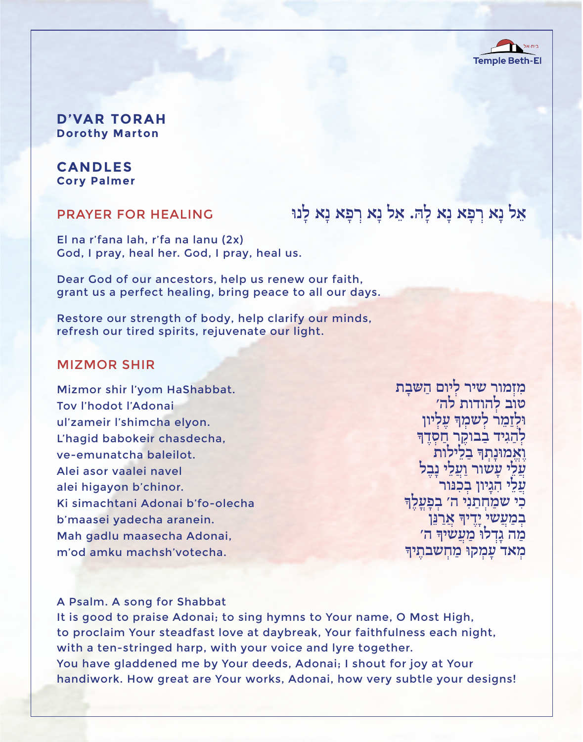

**D'VAR TORAH Dorothy Marton**

### **CANDLES Cory Palmer**

#### PRAYER FOR HEALING

אֵל נַא רִפָּא נַא לַהּ. אֵל נַא רִפַא נַא לַנוּ

El na r'fana lah, r'fa na lanu (2x) God, I pray, heal her. God, I pray, heal us.

Dear God of our ancestors, help us renew our faith, grant us a perfect healing, bring peace to all our days.

Restore our strength of body, help clarify our minds, refresh our tired spirits, rejuvenate our light.

#### MIZMOR SHIR

Mizmor shir l'yom HaShabbat. Tov l'hodot l'Adonai ul'zameir l'shimcha elyon. L'hagid babokeir chasdecha, ve-emunatcha baleilot. Alei asor vaalei navel alei higayon b'chinor. Ki simachtani Adonai b'fo-olecha b'maasei yadecha aranein. Mah gadlu maasecha Adonai, m'od amku machsh'votecha.

**טוב לְ הודות לה׳ מִ זְמור שיר לְ יום הַ שּבָ ת וּלְזַמֵר לְש**ֹמְךָ עַלִיון לְהַגִּיד בַבוּקֵר חַסְדֵךּ **ואמוּנִתְדּ בלילות** עֲלֵי עָשׁור וַעֲלֵי נָבֶל<br>עֲלֵי הִגְיון בְכִנּור<br>כִי שמַחִתְנִי ה׳ בִפַעֲלֵךּ בְמַ*עֲשי יַדֵיךְ א*ָרַנֵּן מַה גַדְלוּ מַעֲשִיךָּ ה׳ **מְאד עַמְקוּ מַחִשבתֵיך** 

#### A Psalm. A song for Shabbat

It is good to praise Adonai; to sing hymns to Your name, O Most High, to proclaim Your steadfast love at daybreak, Your faithfulness each night, with a ten-stringed harp, with your voice and lyre together. You have gladdened me by Your deeds, Adonai; I shout for joy at Your handiwork. How great are Your works, Adonai, how very subtle your designs!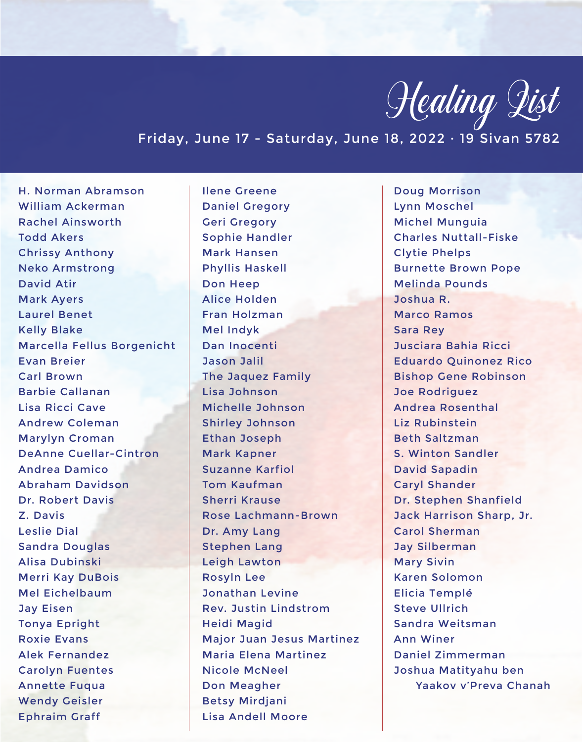

## Friday, June 17 - Saturday, June 18, 2022 · 19 Sivan 5782

H. Norman Abramson William Ackerman Rachel Ainsworth Todd Akers Chrissy Anthony Neko Armstrong David Atir Mark Ayers Laurel Benet Kelly Blake Marcella Fellus Borgenicht Evan Breier Carl Brown Barbie Callanan Lisa Ricci Cave Andrew Coleman Marylyn Croman DeAnne Cuellar-Cintron Andrea Damico Abraham Davidson Dr. Robert Davis Z. Davis Leslie Dial Sandra Douglas Alisa Dubinski Merri Kay DuBois Mel Eichelbaum Jay Eisen Tonya Epright Roxie Evans Alek Fernandez Carolyn Fuentes Annette Fuqua Wendy Geisler Ephraim Graff

Ilene Greene Daniel Gregory Geri Gregory Sophie Handler Mark Hansen Phyllis Haskell Don Heep Alice Holden Fran Holzman Mel Indyk Dan Inocenti Jason Jalil The Jaquez Family Lisa Johnson Michelle Johnson Shirley Johnson Ethan Joseph Mark Kapner Suzanne Karfiol Tom Kaufman Sherri Krause Rose Lachmann-Brown Dr. Amy Lang Stephen Lang Leigh Lawton Rosyln Lee Jonathan Levine Rev. Justin Lindstrom Heidi Magid Major Juan Jesus Martinez Maria Elena Martinez Nicole McNeel Don Meagher Betsy Mirdjani Lisa Andell Moore

Doug Morrison Lynn Moschel Michel Munguia Charles Nuttall-Fiske Clytie Phelps Burnette Brown Pope Melinda Pounds Joshua R. Marco Ramos Sara Rey Jusciara Bahia Ricci Eduardo Quinonez Rico Bishop Gene Robinson Joe Rodriguez Andrea Rosenthal Liz Rubinstein Beth Saltzman S. Winton Sandler David Sapadin Caryl Shander Dr. Stephen Shanfield Jack Harrison Sharp, Jr. Carol Sherman Jay Silberman Mary Sivin Karen Solomon Elicia Templé Steve Ullrich Sandra Weitsman Ann Winer Daniel Zimmerman Joshua Matityahu ben Yaakov v'Preva Chanah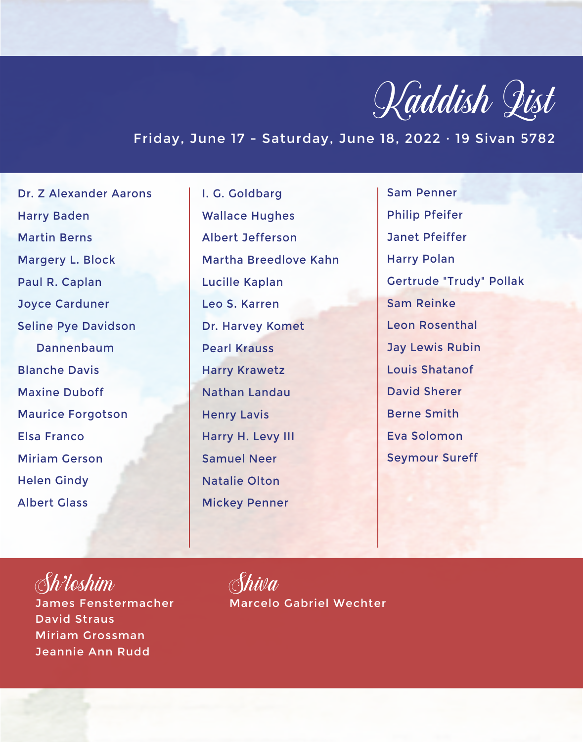

## Friday, June 17 - Saturday, June 18, 2022 · 19 Sivan 5782

Dr. Z Alexander Aarons Harry Baden Martin Berns Margery L. Block Paul R. Caplan Joyce Carduner Seline Pye Davidson Dannenbaum Blanche Davis Maxine Duboff Maurice Forgotson Elsa Franco Miriam Gerson Helen Gindy Albert Glass

I. G. Goldbarg Wallace Hughes Albert Jefferson Martha Breedlove Kahn Lucille Kaplan Leo S. Karren Dr. Harvey Komet Pearl Krauss Harry Krawetz Nathan Landau Henry Lavis Harry H. Levy III Samuel Neer Natalie Olton Mickey Penner

Sam Penner Philip Pfeifer Janet Pfeiffer Harry Polan Gertrude "Trudy" Pollak Sam Reinke Leon Rosenthal Jay Lewis Rubin Louis Shatanof David Sherer Berne Smith Eva Solomon Seymour Sureff

Sh'loshim James Fenstermacher David Straus Miriam Grossman Jeannie Ann Rudd